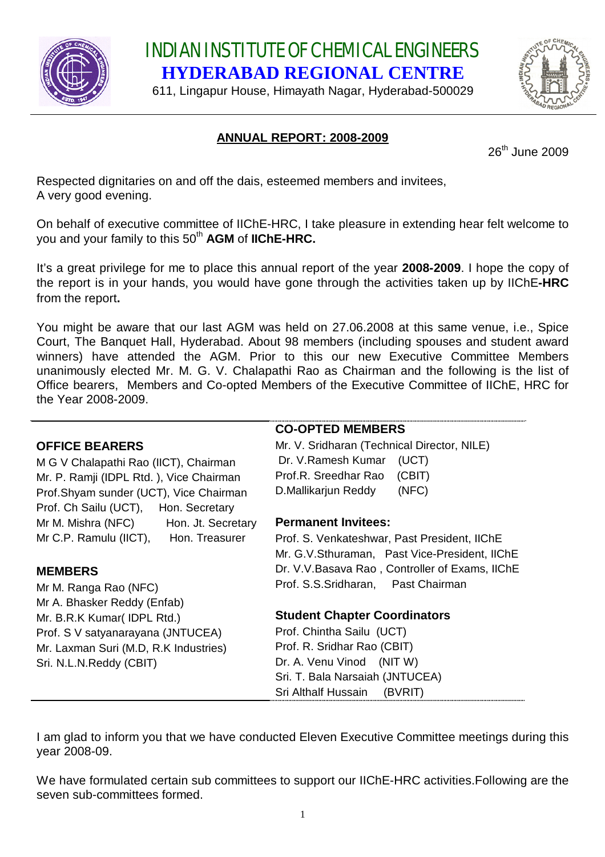

INDIAN INSTITUTE OF CHEMICAL ENGINEERS **HYDERABAD REGIONAL CENTRE**

611, Lingapur House, Himayath Nagar, Hyderabad-500029



# **ANNUAL REPORT: 2008-2009**

26<sup>th</sup> June 2009

Respected dignitaries on and off the dais, esteemed members and invitees, A very good evening.

On behalf of executive committee of IIChE-HRC, I take pleasure in extending hear felt welcome to you and your family to this 50<sup>th</sup> AGM of IIChE-HRC.

It's a great privilege for me to place this annual report of the year **2008-2009**. I hope the copy of the report is in your hands, you would have gone through the activities taken up by IIChE**-HRC** from the report**.** 

You might be aware that our last AGM was held on 27.06.2008 at this same venue, i.e., Spice Court, The Banquet Hall, Hyderabad. About 98 members (including spouses and student award winners) have attended the AGM. Prior to this our new Executive Committee Members unanimously elected Mr. M. G. V. Chalapathi Rao as Chairman and the following is the list of Office bearers, Members and Co-opted Members of the Executive Committee of IIChE, HRC for the Year 2008-2009.

|                                                                      | <b>CO-OPTED MEMBERS</b>                         |
|----------------------------------------------------------------------|-------------------------------------------------|
| <b>OFFICE BEARERS</b>                                                | Mr. V. Sridharan (Technical Director, NILE)     |
| M G V Chalapathi Rao (IICT), Chairman                                | Dr. V. Ramesh Kumar<br>(UCT)                    |
| Mr. P. Ramji (IDPL Rtd.), Vice Chairman                              | Prof.R. Sreedhar Rao<br>(CBIT)                  |
| Prof.Shyam sunder (UCT), Vice Chairman                               | D.Mallikarjun Reddy<br>(NFC)                    |
| Prof. Ch Sailu (UCT), Hon. Secretary                                 |                                                 |
| Mr M. Mishra (NFC) Hon. Jt. Secretary                                | <b>Permanent Invitees:</b>                      |
| Mr C.P. Ramulu (IICT), Hon. Treasurer                                | Prof. S. Venkateshwar, Past President, IIChE    |
|                                                                      | Mr. G.V. Sthuraman, Past Vice-President, IIChE  |
| <b>MEMBERS</b>                                                       | Dr. V.V. Basava Rao, Controller of Exams, IIChE |
| Mr M. Ranga Rao (NFC)                                                | Prof. S.S. Sridharan, Past Chairman             |
| Mr A. Bhasker Reddy (Enfab)                                          |                                                 |
| Mr. B.R.K Kumar (IDPL Rtd.)                                          | <b>Student Chapter Coordinators</b>             |
| Prof. S V satyanarayana (JNTUCEA)                                    | Prof. Chintha Sailu (UCT)                       |
| Prof. R. Sridhar Rao (CBIT)<br>Mr. Laxman Suri (M.D, R.K Industries) |                                                 |
| Sri. N.L.N. Reddy (CBIT)                                             | Dr. A. Venu Vinod (NIT W)                       |
|                                                                      | Sri. T. Bala Narsaiah (JNTUCEA)                 |
|                                                                      | Sri Althalf Hussain<br>(BVRIT)                  |

I am glad to inform you that we have conducted Eleven Executive Committee meetings during this year 2008-09.

We have formulated certain sub committees to support our IIChE-HRC activities.Following are the seven sub-committees formed.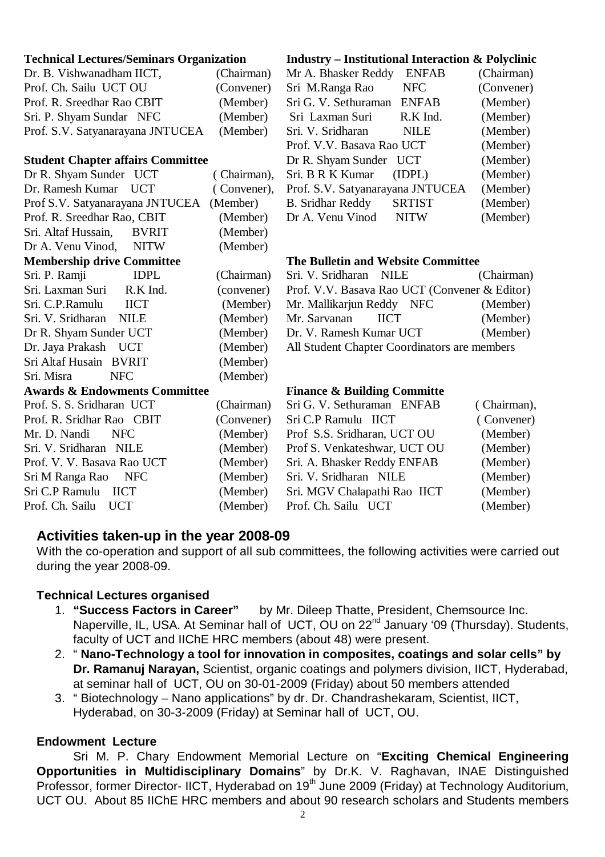#### **Technical Lectures/Seminars Organization**

| Dr. B. Vishwanadham IICT,        | (Chairman) |
|----------------------------------|------------|
| Prof. Ch. Sailu UCT OU           | (Convener) |
| Prof. R. Sreedhar Rao CBIT       | (Member)   |
| Sri. P. Shyam Sundar NFC         | (Member)   |
| Prof. S.V. Satyanarayana JNTUCEA | (Member)   |
|                                  |            |

#### **Student Chapter affairs Committee**

| Dr R. Shyam Sunder UCT                   | (Chairman),              | Sri. B R K I         |
|------------------------------------------|--------------------------|----------------------|
| Dr. Ramesh Kumar UCT                     | (Convener), Prof. S.V. S |                      |
| Prof S.V. Satyanarayana JNTUCEA          | (Member)                 | B. Sridhar F         |
| Prof. R. Sreedhar Rao, CBIT              | (Member)                 | Dr A. Venu           |
| Sri. Altaf Hussain, BVRIT                | (Member)                 |                      |
| Dr A. Venu Vinod, NITW                   | (Member)                 |                      |
| <b>Membership drive Committee</b>        |                          | <b>The Bulleti</b>   |
| Sri. P. Ramji<br><b>IDPL</b>             | (Chairman)               | Sri. V. Sridl        |
| Sri. Laxman Suri R.K Ind.                | (convener)               | Prof. V.V. I         |
| Sri. C.P.Ramulu<br><b>IICT</b>           | (Member)                 | Mr. Mallika          |
| Sri. V. Sridharan NILE                   | (Member)                 | Mr. Sarvana          |
| Dr R. Shyam Sunder UCT                   | (Member)                 | Dr. V. Ram           |
| Dr. Jaya Prakash UCT                     | (Member)                 | All Student          |
| Sri Altaf Husain BVRIT                   | (Member)                 |                      |
| Sri. Misra<br><b>NFC</b>                 | (Member)                 |                      |
| <b>Awards &amp; Endowments Committee</b> |                          | <b>Finance &amp;</b> |
| Prof. S. S. Sridharan UCT                | (Chairman)               | Sri G. V. S6         |
| Prof. R. Sridhar Rao CBIT                | (Convener)               | Sri C.P Ran          |
| Mr. D. Nandi<br><b>NFC</b>               | (Member)                 | Prof S.S. S          |
| Sri. V. Sridharan NILE                   | (Member)                 | Prof S. Ven          |
| Prof. V. V. Basava Rao UCT               | (Member)                 | Sri. A. Bhas         |
| Sri M Ranga Rao NFC                      | (Member)                 | Sri. V. Sridl        |
| Sri C.P Ramulu IICT                      | (Member)                 | Sri. MGV C           |

# **Industry – Institutional Interaction & Polyclinic**

| Mr A. Bhasker Reddy              | <b>ENFAB</b>  | (Chairman) |
|----------------------------------|---------------|------------|
| Sri M.Ranga Rao                  | <b>NFC</b>    | (Convener) |
| Sri G. V. Sethuraman             | <b>ENFAB</b>  | (Member)   |
| Sri Laxman Suri                  | R.K Ind.      | (Member)   |
| Sri. V. Sridharan                | NILE          | (Member)   |
| Prof. V.V. Basava Rao UCT        |               | (Member)   |
| Dr R. Shyam Sunder UCT           |               | (Member)   |
| Sri. B R K Kumar                 | (IDPL)        | (Member)   |
| Prof. S.V. Satyanarayana JNTUCEA |               | (Member)   |
| <b>B.</b> Sridhar Reddy          | <b>SRTIST</b> | (Member)   |
| Dr A. Venu Vinod                 | <b>NITW</b>   | (Member)   |

#### **The and Website Committee**

| Sri. V. Sridharan NILE                        | (Chairman) |  |  |  |
|-----------------------------------------------|------------|--|--|--|
| Prof. V.V. Basava Rao UCT (Convener & Editor) |            |  |  |  |
| Mr. Mallikarjun Reddy NFC                     | (Member)   |  |  |  |
| Mr. Sarvanan<br>— НСТ                         | (Member)   |  |  |  |
| Dr. V. Ramesh Kumar UCT                       | (Member)   |  |  |  |
| All Student Chapter Coordinators are members  |            |  |  |  |
|                                               |            |  |  |  |

### **Building Committe**

| Prof. S. S. Sridharan UCT  |            | (Chairman) Sri G. V. Sethuraman ENFAB | (Chairman), |
|----------------------------|------------|---------------------------------------|-------------|
| Prof. R. Sridhar Rao CBIT  | (Convener) | Sri C.P Ramulu IICT                   | (Convener)  |
| Mr. D. Nandi NFC           | (Member)   | Prof S.S. Sridharan, UCT OU           | (Member)    |
| Sri. V. Sridharan NILE     | (Member)   | Prof S. Venkateshwar, UCT OU          | (Member)    |
| Prof. V. V. Basava Rao UCT | (Member)   | Sri. A. Bhasker Reddy ENFAB           | (Member)    |
| Sri M Ranga Rao NFC        | (Member)   | Sri. V. Sridharan NILE                | (Member)    |
| Sri C.P Ramulu IICT        | (Member)   | Sri. MGV Chalapathi Rao IICT          | (Member)    |
| Prof. Ch. Sailu UCT        | (Member)   | Prof. Ch. Sailu UCT                   | (Member)    |
|                            |            |                                       |             |

# **Activities taken-up in the year 2008-09**

With the co-operation and support of all sub committees, the following activities were carried out during the year 2008-09.

# **Technical Lectures organised**

- 1. **"Success Factors in Career"** by Mr. Dileep Thatte, President, Chemsource Inc. Naperville, IL, USA. At Seminar hall of UCT, OU on 22<sup>nd</sup> January '09 (Thursday). Students, faculty of UCT and IIChE HRC members (about 48) were present.
- 2. " **Nano-Technology a tool for innovation in composites, coatings and solar cells" by Dr. Ramanuj Narayan,** Scientist, organic coatings and polymers division, IICT, Hyderabad, at seminar hall of UCT, OU on 30-01-2009 (Friday) about 50 members attended
- 3. " Biotechnology Nano applications" by dr. Dr. Chandrashekaram, Scientist, IICT, Hyderabad, on 30-3-2009 (Friday) at Seminar hall of UCT, OU.

# **Endowment Lecture**

Sri M. P. Chary Endowment Memorial Lecture on "**Exciting Chemical Engineering Opportunities in Multidisciplinary Domains**" by Dr.K. V. Raghavan, INAE Distinguished Professor, former Director- IICT, Hyderabad on 19<sup>th</sup> June 2009 (Friday) at Technology Auditorium, UCT OU. About 85 IIChE HRC members and about 90 research scholars and Students members